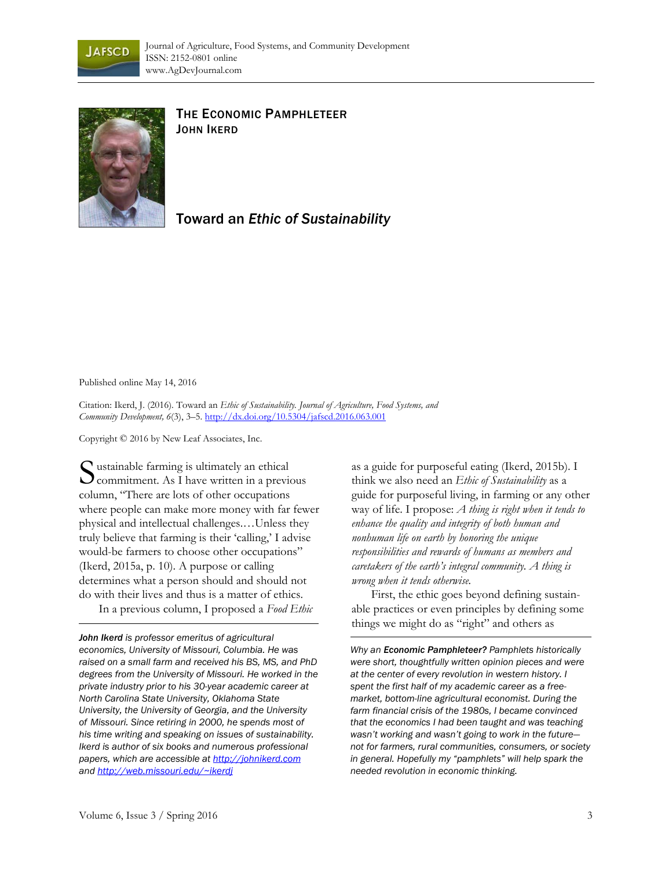



## THE ECONOMIC PAMPHLETEER JOHN IKERD

## Toward an *Ethic of Sustainability*

Published online May 14, 2016

Citation: Ikerd, J. (2016). Toward an *Ethic of Sustainability. Journal of Agriculture, Food Systems, and Community Development, 6*(3), 3–5. http://dx.doi.org/10.5304/jafscd.2016.063.001

Copyright © 2016 by New Leaf Associates, Inc.

Sustainable farming is ultimately an ethical<br>commitment. As I have written in a previo  $\sum$  commitment. As I have written in a previous column, "There are lots of other occupations where people can make more money with far fewer physical and intellectual challenges.…Unless they truly believe that farming is their 'calling,' I advise would-be farmers to choose other occupations" (Ikerd, 2015a, p. 10). A purpose or calling determines what a person should and should not do with their lives and thus is a matter of ethics. In a previous column, I proposed a *Food Ethic*

*John Ikerd is professor emeritus of agricultural economics, University of Missouri, Columbia. He was raised on a small farm and received his BS, MS, and PhD degrees from the University of Missouri. He worked in the private industry prior to his 30-year academic career at North Carolina State University, Oklahoma State University, the University of Georgia, and the University of Missouri. Since retiring in 2000, he spends most of his time writing and speaking on issues of sustainability. Ikerd is author of six books and numerous professional papers, which are accessible at http://johnikerd.com and http://web.missouri.edu/~ikerdj*

as a guide for purposeful eating (Ikerd, 2015b). I think we also need an *Ethic of Sustainability* as a guide for purposeful living, in farming or any other way of life. I propose: *A thing is right when it tends to enhance the quality and integrity of both human and nonhuman life on earth by honoring the unique responsibilities and rewards of humans as members and caretakers of the earth's integral community. A thing is wrong when it tends otherwise.* 

 First, the ethic goes beyond defining sustainable practices or even principles by defining some things we might do as "right" and others as

*Why an Economic Pamphleteer? Pamphlets historically were short, thoughtfully written opinion pieces and were at the center of every revolution in western history. I spent the first half of my academic career as a freemarket, bottom-line agricultural economist. During the farm financial crisis of the 1980s, I became convinced that the economics I had been taught and was teaching wasn't working and wasn't going to work in the future not for farmers, rural communities, consumers, or society in general. Hopefully my "pamphlets" will help spark the needed revolution in economic thinking.*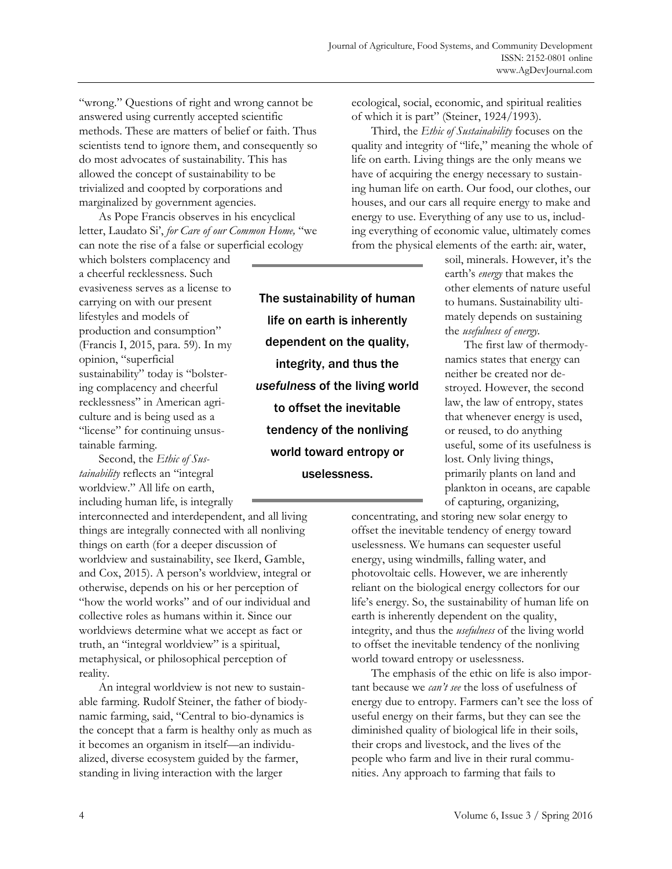"wrong." Questions of right and wrong cannot be answered using currently accepted scientific methods. These are matters of belief or faith. Thus scientists tend to ignore them, and consequently so do most advocates of sustainability. This has allowed the concept of sustainability to be trivialized and coopted by corporations and marginalized by government agencies.

 As Pope Francis observes in his encyclical letter, Laudato Si', *for Care of our Common Home,* "we can note the rise of a false or superficial ecology

which bolsters complacency and a cheerful recklessness. Such evasiveness serves as a license to carrying on with our present lifestyles and models of production and consumption" (Francis I, 2015, para. 59). In my opinion, "superficial sustainability" today is "bolstering complacency and cheerful recklessness" in American agriculture and is being used as a "license" for continuing unsustainable farming.

 Second, the *Ethic of Sustainability* reflects an "integral worldview." All life on earth, including human life, is integrally

interconnected and interdependent, and all living things are integrally connected with all nonliving things on earth (for a deeper discussion of worldview and sustainability, see Ikerd, Gamble, and Cox, 2015). A person's worldview, integral or otherwise, depends on his or her perception of "how the world works" and of our individual and collective roles as humans within it. Since our worldviews determine what we accept as fact or truth, an "integral worldview" is a spiritual, metaphysical, or philosophical perception of reality.

 An integral worldview is not new to sustainable farming. Rudolf Steiner, the father of biodynamic farming, said, "Central to bio-dynamics is the concept that a farm is healthy only as much as it becomes an organism in itself—an individualized, diverse ecosystem guided by the farmer, standing in living interaction with the larger

The sustainability of human life on earth is inherently dependent on the quality, integrity, and thus the *usefulness* of the living world to offset the inevitable tendency of the nonliving world toward entropy or uselessness.

ecological, social, economic, and spiritual realities of which it is part" (Steiner, 1924/1993).

 Third, the *Ethic of Sustainability* focuses on the quality and integrity of "life," meaning the whole of life on earth. Living things are the only means we have of acquiring the energy necessary to sustaining human life on earth. Our food, our clothes, our houses, and our cars all require energy to make and energy to use. Everything of any use to us, including everything of economic value, ultimately comes from the physical elements of the earth: air, water,

soil, minerals. However, it's the earth's *energy* that makes the other elements of nature useful to humans. Sustainability ultimately depends on sustaining the *usefulness of energy.*

 The first law of thermodynamics states that energy can neither be created nor destroyed. However, the second law, the law of entropy, states that whenever energy is used, or reused, to do anything useful, some of its usefulness is lost. Only living things, primarily plants on land and plankton in oceans, are capable of capturing, organizing,

concentrating, and storing new solar energy to offset the inevitable tendency of energy toward uselessness. We humans can sequester useful energy, using windmills, falling water, and photovoltaic cells. However, we are inherently reliant on the biological energy collectors for our life's energy. So, the sustainability of human life on earth is inherently dependent on the quality, integrity, and thus the *usefulness* of the living world to offset the inevitable tendency of the nonliving world toward entropy or uselessness.

 The emphasis of the ethic on life is also important because we *can't see* the loss of usefulness of energy due to entropy. Farmers can't see the loss of useful energy on their farms, but they can see the diminished quality of biological life in their soils, their crops and livestock, and the lives of the people who farm and live in their rural communities. Any approach to farming that fails to